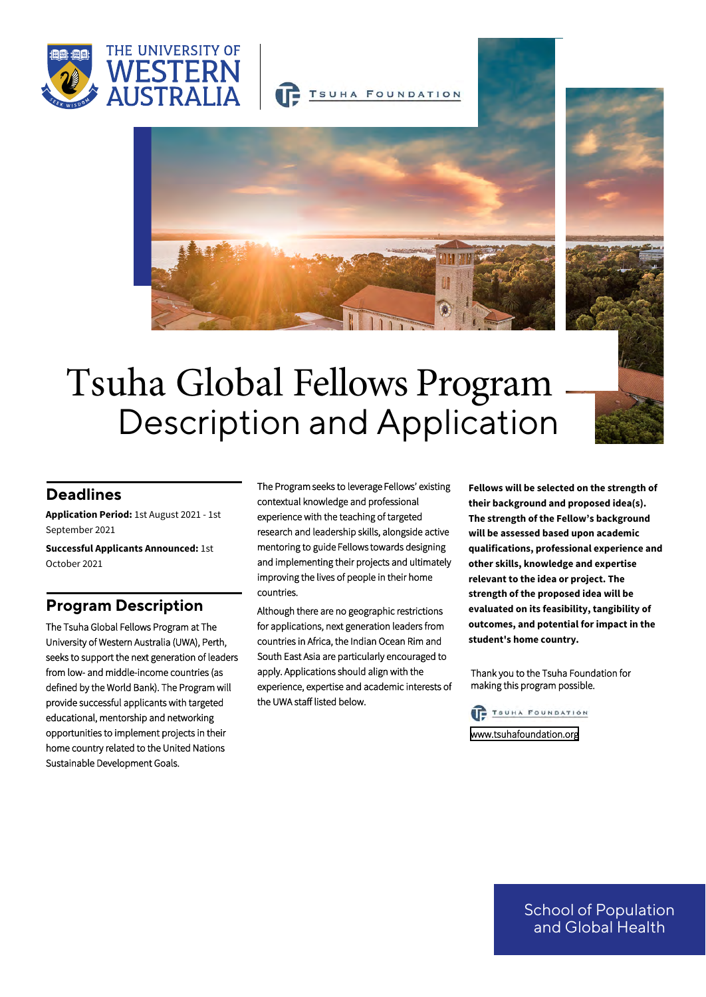



TSUHA FOUNDATION



# Description and Application Tsuha Global Fellows Program

#### **Deadlines**

**Application Period:** 1st August 2021 - 1st September 2021

**Successful Applicants Announced:** 1st October 2021

#### **Program Description**

The Tsuha Global Fellows Program at The University of Western Australia (UWA), Perth, seeks to support the next generation of leaders from low- and middle-income countries (as defined by the World Bank). The Program will provide successful applicants with targeted educational, mentorship and networking opportunities to implement projects in their home country related to the United Nations Sustainable Development Goals.

The Program seeks to leverage Fellows' existing contextual knowledge and professional experience with the teaching of targeted research and leadership skills, alongside active mentoring to guide Fellows towards designing and implementing their projects and ultimately improving the lives of people in their home countries.

Although there are no geographic restrictions for applications, next generation leaders from countries in Africa, the Indian Ocean Rim and South East Asia are particularly encouraged to apply. Applications should align with the experience, expertise and academic interests of the UWA staff listed below.

**Fellows will be selected on the strength of their background and proposed idea(s). The strength of the Fellow's background will be assessed based upon academic qualifications, professional experience and other skills, knowledge and expertise relevant to the idea or project. The strength of the proposed idea will be evaluated on its feasibility, tangibility of outcomes, and potential for impact in the student's home country.**

Thank you to the Tsuha Foundation for making this program possible.



<www.tsuhafoundation.org>

School of Population and Global Health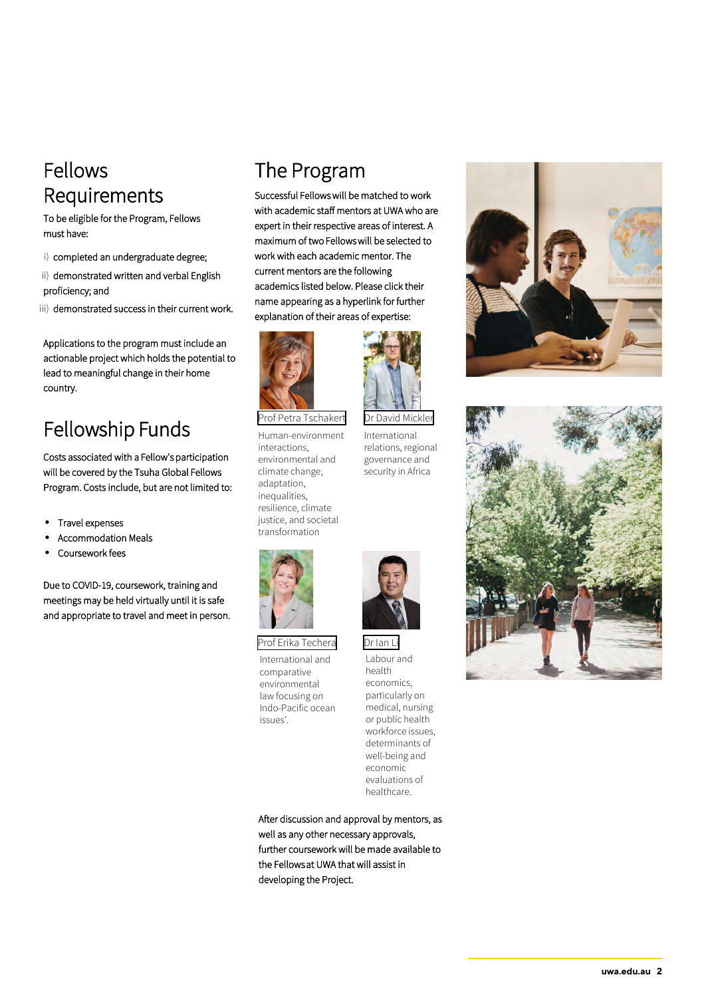### Fellows Requirements

To be eligible for the Program, Fellows must have:

- i) completed an undergraduate degree;
- ii) demonstrated written and verbal English proficiency; and
- iii) demonstrated success in their current work.

Applications to the program must include an actionable project which holds the potential to lead to meaningful change in their home country.

# Fellowship Funds

Costs associated with a Fellow's participation will be covered by the Tsuha Global Fellows Program. Costs include, but are not limited to:

- Travel expenses
- Accommodation Meals
- Coursework fees

Due to COVID-19, coursework, training and meetings may be held virtually until it is safe and appropriate to travel and meet in person.

# The Program

Successful Fellows will be matched to work with academic staff mentors at UWA who are expert in their respective areas of interest. A maximum of two Fellows will be selected to work with each academic mentor. The current mentors are the following academics listed below. Please click their name appearing as a hyperlink for further explanation of their areas of expertise:



[Prof Petra Tschakert](https://research-repository.uwa.edu.au/en/persons/petra-tschakert)

Human-environment interactions, environmental and climate change, adaptation, inequalities. resilience, climate justice, and societal transformation



[Prof Erika Techera](https://research-repository.uwa.edu.au/en/persons/erika-techera) [Dr Ian Li](https://research-repository.uwa.edu.au/en/persons/ian-li) International and comparative environmental law focusing on Indo-Pacific ocean issues'.

health economics, particularly on medical, nursing or public health workforce issues, determinants of well-being and economic evaluations of healthcare.

Labour and

[Dr David Mickler](https://research-repository.uwa.edu.au/en/persons/david-mickler)

International relations, regional governance and security in Africa

After discussion and approval by mentors, as well as any other necessary approvals, further coursework will be made available to the Fellows at UWA that will assist in developing the Project.